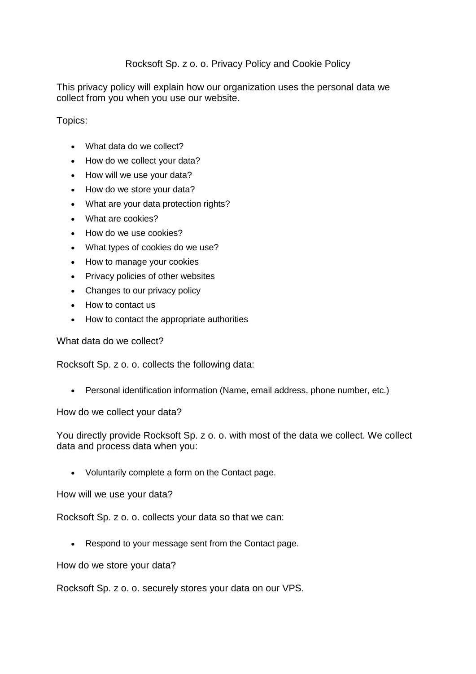## Rocksoft Sp. z o. o. Privacy Policy and Cookie Policy

This privacy policy will explain how our organization uses the personal data we collect from you when you use our website.

Topics:

- What data do we collect?
- How do we collect your data?
- How will we use your data?
- How do we store your data?
- What are your data protection rights?
- What are cookies?
- How do we use cookies?
- What types of cookies do we use?
- How to manage your cookies
- Privacy policies of other websites
- Changes to our privacy policy
- How to contact us
- How to contact the appropriate authorities

What data do we collect?

Rocksoft Sp. z o. o. collects the following data:

Personal identification information (Name, email address, phone number, etc.)

How do we collect your data?

You directly provide Rocksoft Sp. z o. o. with most of the data we collect. We collect data and process data when you:

Voluntarily complete a form on the Contact page.

How will we use your data?

Rocksoft Sp. z o. o. collects your data so that we can:

• Respond to your message sent from the Contact page.

How do we store your data?

Rocksoft Sp. z o. o. securely stores your data on our VPS.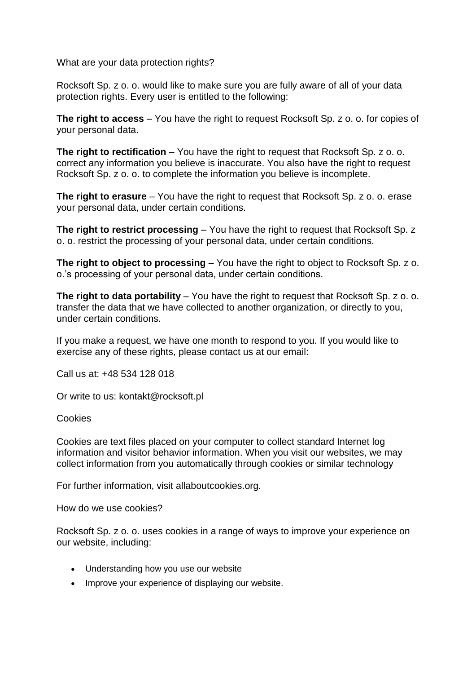What are your data protection rights?

Rocksoft Sp. z o. o. would like to make sure you are fully aware of all of your data protection rights. Every user is entitled to the following:

**The right to access** – You have the right to request Rocksoft Sp. z o. o. for copies of your personal data.

**The right to rectification** – You have the right to request that Rocksoft Sp. z o. o. correct any information you believe is inaccurate. You also have the right to request Rocksoft Sp. z o. o. to complete the information you believe is incomplete.

**The right to erasure** – You have the right to request that Rocksoft Sp. z o. o. erase your personal data, under certain conditions.

**The right to restrict processing** – You have the right to request that Rocksoft Sp. z o. o. restrict the processing of your personal data, under certain conditions.

**The right to object to processing** – You have the right to object to Rocksoft Sp. z o. o.'s processing of your personal data, under certain conditions.

**The right to data portability** – You have the right to request that Rocksoft Sp. z o. o. transfer the data that we have collected to another organization, or directly to you, under certain conditions.

If you make a request, we have one month to respond to you. If you would like to exercise any of these rights, please contact us at our email:

Call us at: +48 534 128 018

Or write to us: kontakt@rocksoft.pl

## Cookies

Cookies are text files placed on your computer to collect standard Internet log information and visitor behavior information. When you visit our websites, we may collect information from you automatically through cookies or similar technology

For further information, visit allaboutcookies.org.

How do we use cookies?

Rocksoft Sp. z o. o. uses cookies in a range of ways to improve your experience on our website, including:

- Understanding how you use our website
- Improve your experience of displaying our website.